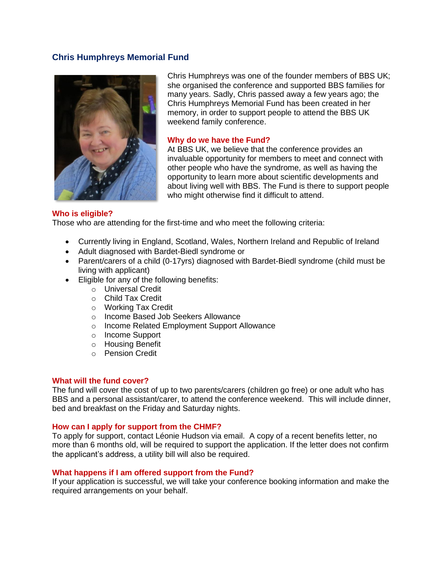# **Chris Humphreys Memorial Fund**



Chris Humphreys was one of the founder members of BBS UK; she organised the conference and supported BBS families for many years. Sadly, Chris passed away a few years ago; the Chris Humphreys Memorial Fund has been created in her memory, in order to support people to attend the BBS UK weekend family conference.

#### **Why do we have the Fund?**

At BBS UK, we believe that the conference provides an invaluable opportunity for members to meet and connect with other people who have the syndrome, as well as having the opportunity to learn more about scientific developments and about living well with BBS. The Fund is there to support people who might otherwise find it difficult to attend.

## **Who is eligible?**

Those who are attending for the first-time and who meet the following criteria:

- Currently living in England, Scotland, Wales, Northern Ireland and Republic of Ireland
- Adult diagnosed with Bardet-Biedl syndrome or
- Parent/carers of a child (0-17yrs) diagnosed with Bardet-Biedl syndrome (child must be living with applicant)
- Eligible for any of the following benefits:
	- o Universal Credit
	- o Child Tax Credit
	- o Working Tax Credit
	- o Income Based Job Seekers Allowance
	- o Income Related Employment Support Allowance
	- o Income Support
	- o Housing Benefit
	- o Pension Credit

#### **What will the fund cover?**

The fund will cover the cost of up to two parents/carers (children go free) or one adult who has BBS and a personal assistant/carer, to attend the conference weekend. This will include dinner, bed and breakfast on the Friday and Saturday nights.

#### **How can I apply for support from the CHMF?**

To apply for support, contact Léonie Hudson via email. A copy of a recent benefits letter, no more than 6 months old, will be required to support the application. If the letter does not confirm the applicant's address, a utility bill will also be required.

# **What happens if I am offered support from the Fund?**

If your application is successful, we will take your conference booking information and make the required arrangements on your behalf.